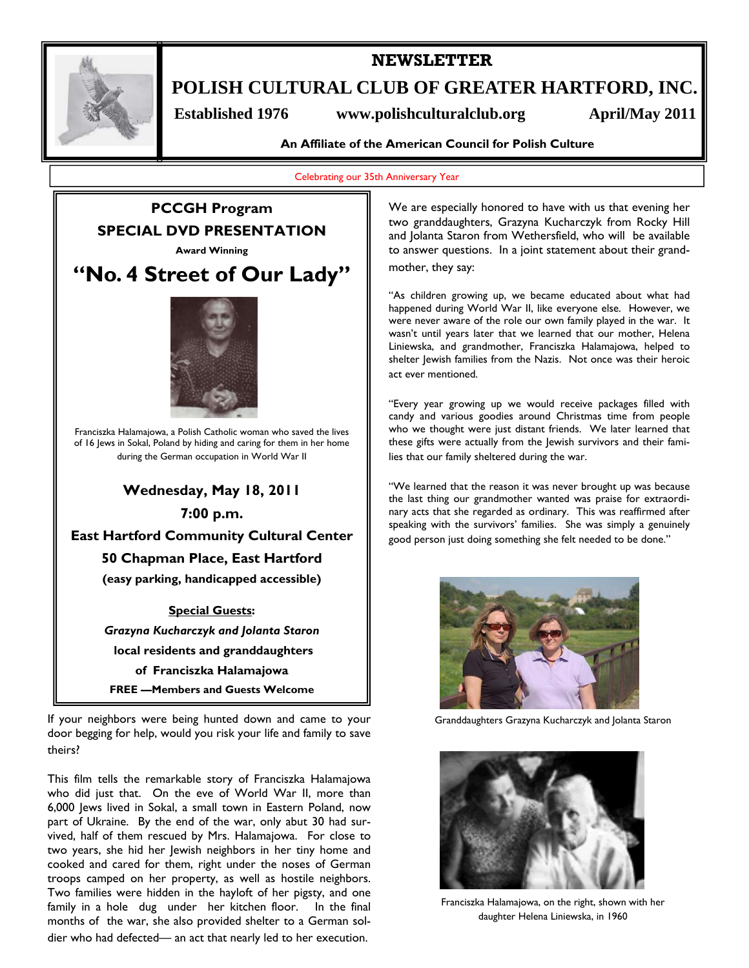

## **NEWSLETTER**

**POLISH CULTURAL CLUB OF GREATER HARTFORD, INC.** 

Established 1976 www.polishculturalclub.org April/May 2011

**An Affiliate of the American Council for Polish Culture** 

Celebrating our 35th Anniversary Year



If your neighbors were being hunted down and came to your door begging for help, would you risk your life and family to save theirs?

This film tells the remarkable story of Franciszka Halamajowa who did just that. On the eve of World War II, more than 6,000 Jews lived in Sokal, a small town in Eastern Poland, now part of Ukraine. By the end of the war, only abut 30 had survived, half of them rescued by Mrs. Halamajowa. For close to two years, she hid her Jewish neighbors in her tiny home and cooked and cared for them, right under the noses of German troops camped on her property, as well as hostile neighbors. Two families were hidden in the hayloft of her pigsty, and one family in a hole dug under her kitchen floor. In the final months of the war, she also provided shelter to a German soldier who had defected— an act that nearly led to her execution.

We are especially honored to have with us that evening her two granddaughters, Grazyna Kucharczyk from Rocky Hill and Jolanta Staron from Wethersfield, who will be available to answer questions. In a joint statement about their grandmother, they say:

"As children growing up, we became educated about what had happened during World War II, like everyone else. However, we were never aware of the role our own family played in the war. It wasn't until years later that we learned that our mother, Helena Liniewska, and grandmother, Franciszka Halamajowa, helped to shelter Jewish families from the Nazis. Not once was their heroic act ever mentioned.

"Every year growing up we would receive packages filled with candy and various goodies around Christmas time from people who we thought were just distant friends. We later learned that these gifts were actually from the Jewish survivors and their families that our family sheltered during the war.

"We learned that the reason it was never brought up was because the last thing our grandmother wanted was praise for extraordinary acts that she regarded as ordinary. This was reaffirmed after speaking with the survivors' families. She was simply a genuinely good person just doing something she felt needed to be done."



Granddaughters Grazyna Kucharczyk and Jolanta Staron



Franciszka Halamajowa, on the right, shown with her daughter Helena Liniewska, in 1960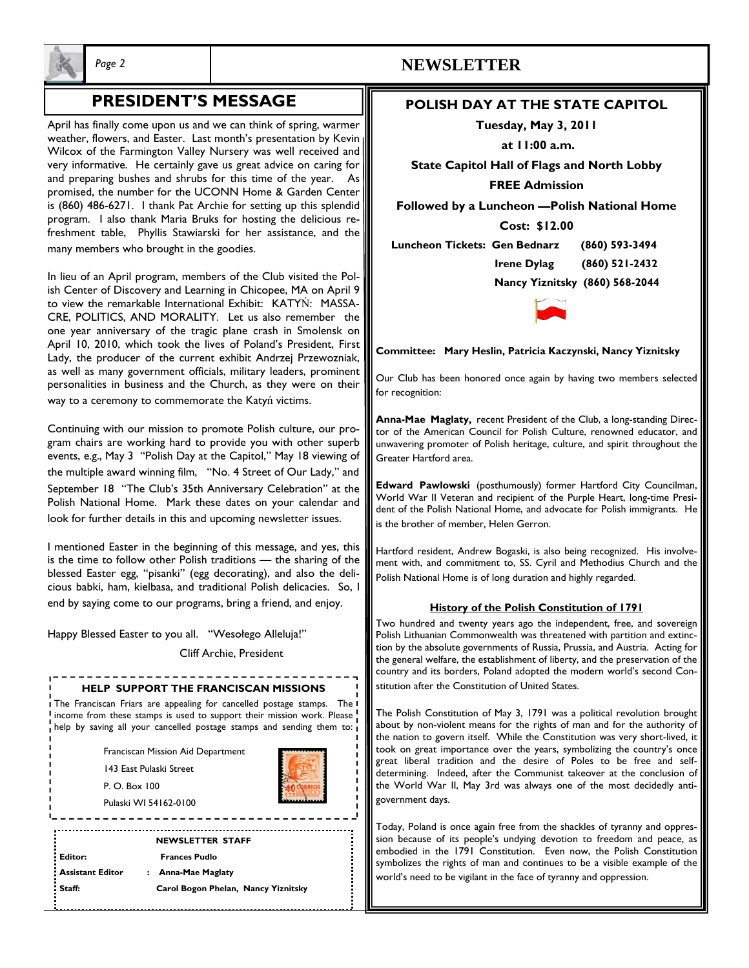

# **PRESIDENT'S MESSAGE**

April has finally come upon us and we can think of spring, warmer weather, flowers, and Easter. Last month's presentation by Kevin Wilcox of the Farmington Valley Nursery was well received and very informative. He certainly gave us great advice on caring for and preparing bushes and shrubs for this time of the year. As promised, the number for the UCONN Home & Garden Center is (860) 486-6271. I thank Pat Archie for setting up this splendid program. I also thank Maria Bruks for hosting the delicious refreshment table, Phyllis Stawiarski for her assistance, and the many members who brought in the goodies.

In lieu of an April program, members of the Club visited the Polish Center of Discovery and Learning in Chicopee, MA on April 9 to view the remarkable International Exhibit: KATYŃ: MASSA-CRE, POLITICS, AND MORALITY. Let us also remember the one year anniversary of the tragic plane crash in Smolensk on April 10, 2010, which took the lives of Poland's President, First Lady, the producer of the current exhibit Andrzej Przewozniak, as well as many government officials, military leaders, prominent personalities in business and the Church, as they were on their way to a ceremony to commemorate the Katyń victims.

Continuing with our mission to promote Polish culture, our program chairs are working hard to provide you with other superb events, e.g., May 3 "Polish Day at the Capitol," May 18 viewing of the multiple award winning film, "No. 4 Street of Our Lady," and September 18 "The Club's 35th Anniversary Celebration" at the Polish National Home. Mark these dates on your calendar and look for further details in this and upcoming newsletter issues.

I mentioned Easter in the beginning of this message, and yes, this is the time to follow other Polish traditions — the sharing of the blessed Easter egg, "pisanki" (egg decorating), and also the delicious babki, ham, kielbasa, and traditional Polish delicacies. So, I end by saying come to our programs, bring a friend, and enjoy.

Happy Blessed Easter to you all. "Wesołego Alleluja!"

Cliff Archie, President

#### **HELP SUPPORT THE FRANCISCAN MISSIONS**

I The Franciscan Friars are appealing for cancelled postage stamps. The I income from these stamps is used to support their mission work. Please help by saving all your cancelled postage stamps and sending them to:

Franciscan Mission Aid Department

143 East Pulaski Street

P. O. Box 100

Pulaski WI 54162-0100

**NEWSLETTER STAFF Editor: Frances Pudlo Assistant Editor : Anna-Mae Maglaty Staff: Carol Bogon Phelan, Nancy Yiznitsky** 

## *Page 2* **NEWSLETTER**

### **POLISH DAY AT THE STATE CAPITOL**

**Tuesday, May 3, 2011** 

 **at 11:00 a.m.** 

**State Capitol Hall of Flags and North Lobby FREE Admission** 

**Followed by a Luncheon —Polish National Home** 

**Cost: \$12.00** 

 **Luncheon Tickets: Gen Bednarz (860) 593-3494** 

 **Irene Dylag (860) 521-2432** 

 **Nancy Yiznitsky (860) 568-2044** 



**Committee: Mary Heslin, Patricia Kaczynski, Nancy Yiznitsky** 

Our Club has been honored once again by having two members selected for recognition:

**Anna-Mae Maglaty,** recent President of the Club, a long-standing Director of the American Council for Polish Culture, renowned educator, and unwavering promoter of Polish heritage, culture, and spirit throughout the Greater Hartford area.

**Edward Pawlowski** (posthumously) former Hartford City Councilman, World War II Veteran and recipient of the Purple Heart, long-time President of the Polish National Home, and advocate for Polish immigrants. He is the brother of member, Helen Gerron.

Hartford resident, Andrew Bogaski, is also being recognized. His involvement with, and commitment to, SS. Cyril and Methodius Church and the Polish National Home is of long duration and highly regarded.

#### **History of the Polish Constitution of 1791**

Two hundred and twenty years ago the independent, free, and sovereign Polish Lithuanian Commonwealth was threatened with partition and extinction by the absolute governments of Russia, Prussia, and Austria. Acting for the general welfare, the establishment of liberty, and the preservation of the country and its borders, Poland adopted the modern world's second Constitution after the Constitution of United States.

The Polish Constitution of May 3, 1791 was a political revolution brought about by non-violent means for the rights of man and for the authority of the nation to govern itself. While the Constitution was very short-lived, it took on great importance over the years, symbolizing the country's once great liberal tradition and the desire of Poles to be free and selfdetermining. Indeed, after the Communist takeover at the conclusion of the World War II, May 3rd was always one of the most decidedly antigovernment days.

Today, Poland is once again free from the shackles of tyranny and oppression because of its people's undying devotion to freedom and peace, as embodied in the 1791 Constitution. Even now, the Polish Constitution symbolizes the rights of man and continues to be a visible example of the world's need to be vigilant in the face of tyranny and oppression.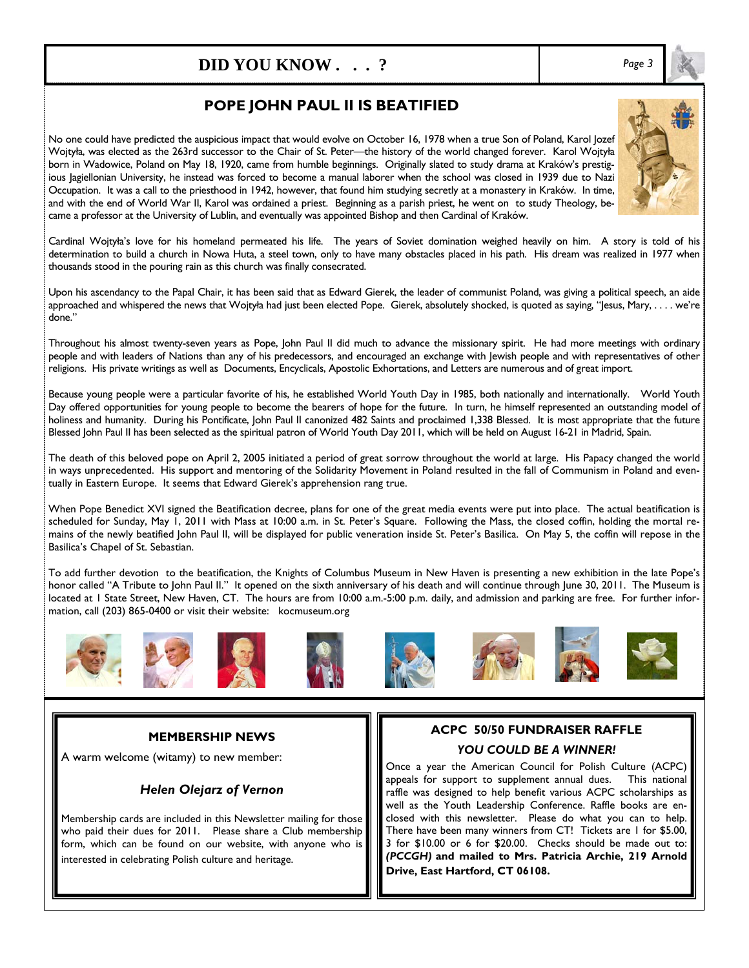# **DID YOU KNOW . . . ?** *Page 3*

## **POPE JOHN PAUL II IS BEATIFIED**

No one could have predicted the auspicious impact that would evolve on October 16, 1978 when a true Son of Poland, Karol Jozef Wojtyła, was elected as the 263rd successor to the Chair of St. Peter—the history of the world changed forever. Karol Wojtyła born in Wadowice, Poland on May 18, 1920, came from humble beginnings. Originally slated to study drama at Kraków's prestigious Jagiellonian University, he instead was forced to become a manual laborer when the school was closed in 1939 due to Nazi Occupation. It was a call to the priesthood in 1942, however, that found him studying secretly at a monastery in Kraków. In time, and with the end of World War II, Karol was ordained a priest. Beginning as a parish priest, he went on to study Theology, became a professor at the University of Lublin, and eventually was appointed Bishop and then Cardinal of Kraków.

Cardinal Wojtyła's love for his homeland permeated his life. The years of Soviet domination weighed heavily on him. A story is told of his determination to build a church in Nowa Huta, a steel town, only to have many obstacles placed in his path. His dream was realized in 1977 when thousands stood in the pouring rain as this church was finally consecrated.

Upon his ascendancy to the Papal Chair, it has been said that as Edward Gierek, the leader of communist Poland, was giving a political speech, an aide approached and whispered the news that Wojtyła had just been elected Pope. Gierek, absolutely shocked, is quoted as saying, "Jesus, Mary, . . . . we're done."

Throughout his almost twenty-seven years as Pope, John Paul II did much to advance the missionary spirit. He had more meetings with ordinary people and with leaders of Nations than any of his predecessors, and encouraged an exchange with Jewish people and with representatives of other religions. His private writings as well as Documents, Encyclicals, Apostolic Exhortations, and Letters are numerous and of great import.

Because young people were a particular favorite of his, he established World Youth Day in 1985, both nationally and internationally. World Youth Day offered opportunities for young people to become the bearers of hope for the future. In turn, he himself represented an outstanding model of holiness and humanity. During his Pontificate, John Paul II canonized 482 Saints and proclaimed 1,338 Blessed. It is most appropriate that the future Blessed John Paul II has been selected as the spiritual patron of World Youth Day 2011, which will be held on August 16-21 in Madrid, Spain.

The death of this beloved pope on April 2, 2005 initiated a period of great sorrow throughout the world at large. His Papacy changed the world in ways unprecedented. His support and mentoring of the Solidarity Movement in Poland resulted in the fall of Communism in Poland and eventually in Eastern Europe. It seems that Edward Gierek's apprehension rang true.

When Pope Benedict XVI signed the Beatification decree, plans for one of the great media events were put into place. The actual beatification is scheduled for Sunday, May 1, 2011 with Mass at 10:00 a.m. in St. Peter's Square. Following the Mass, the closed coffin, holding the mortal remains of the newly beatified John Paul II, will be displayed for public veneration inside St. Peter's Basilica. On May 5, the coffin will repose in the Basilica's Chapel of St. Sebastian.

To add further devotion to the beatification, the Knights of Columbus Museum in New Haven is presenting a new exhibition in the late Pope's honor called "A Tribute to John Paul II." It opened on the sixth anniversary of his death and will continue through June 30, 2011. The Museum is located at 1 State Street, New Haven, CT. The hours are from 10:00 a.m.-5:00 p.m. daily, and admission and parking are free. For further information, call (203) 865-0400 or visit their website: kocmuseum.org



A warm welcome (witamy) to new member:

### *Helen Olejarz of Vernon*

Membership cards are included in this Newsletter mailing for those who paid their dues for 2011. Please share a Club membership form, which can be found on our website, with anyone who is interested in celebrating Polish culture and heritage.

## **ACPC 50/50 FUNDRAISER RAFFLE**  *YOU COULD BE A WINNER!*

Once a year the American Council for Polish Culture (ACPC) appeals for support to supplement annual dues. This national raffle was designed to help benefit various ACPC scholarships as well as the Youth Leadership Conference. Raffle books are enclosed with this newsletter. Please do what you can to help. There have been many winners from CT! Tickets are 1 for \$5.00, 3 for \$10.00 or 6 for \$20.00. Checks should be made out to: *(PCCGH)* **and mailed to Mrs. Patricia Archie, 219 Arnold Drive, East Hartford, CT 06108.**